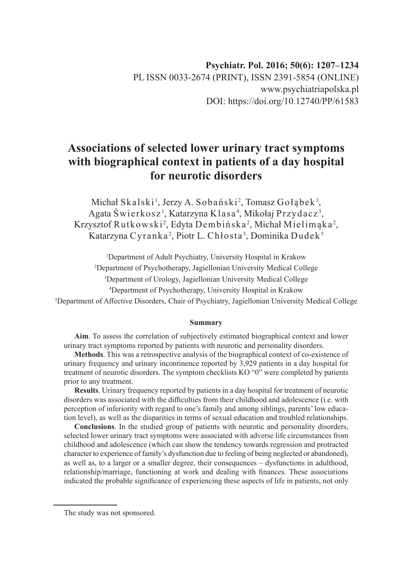# **Associations of selected lower urinary tract symptoms with biographical context in patients of a day hospital for neurotic disorders**

Michał Skalski<sup>1</sup>, Jerzy A. Sobański<sup>2</sup>, Tomasz Gołąbek<sup>3</sup>, Agata Świerkosz<sup>1</sup>, Katarzyna Klasa<sup>4</sup>, Mikołaj Przydacz<sup>3</sup>, Krzysztof Rutkowski<sup>2</sup>, Edyta Dembińska<sup>2</sup>, Michał Mielimąka<sup>2</sup>, Katarzyna Cyranka<sup>2</sup>, Piotr L. Chłosta<sup>3</sup>, Dominika Dudek<sup>5</sup>

<sup>1</sup>Department of Adult Psychiatry, University Hospital in Krakow

2 Department of Psychotherapy, Jagiellonian University Medical College

3 Department of Urology, Jagiellonian University Medical College

4 Department of Psychotherapy, University Hospital in Krakow

5 Department of Affective Disorders, Chair of Psychiatry, Jagiellonian University Medical College

#### **Summary**

**Aim**. To assess the correlation of subjectively estimated biographical context and lower urinary tract symptoms reported by patients with neurotic and personality disorders.

**Methods**. This was a retrospective analysis of the biographical context of co-existence of urinary frequency and urinary incontinence reported by 3,929 patients in a day hospital for treatment of neurotic disorders. The symptom checklists KO "0" were completed by patients prior to any treatment.

**Results**. Urinary frequency reported by patients in a day hospital for treatment of neurotic disorders was associated with the difficulties from their childhood and adolescence (i.e. with perception of inferiority with regard to one's family and among siblings, parents' low education level), as well as the disparities in terms of sexual education and troubled relationships.

**Conclusions**. In the studied group of patients with neurotic and personality disorders, selected lower urinary tract symptoms were associated with adverse life circumstances from childhood and adolescence (which can show the tendency towards regression and protracted character to experience of family's dysfunction due to feeling of being neglected or abandoned), as well as, to a larger or a smaller degree, their consequences – dysfunctions in adulthood, relationship/marriage, functioning at work and dealing with finances. These associations indicated the probable significance of experiencing these aspects of life in patients, not only

The study was not sponsored.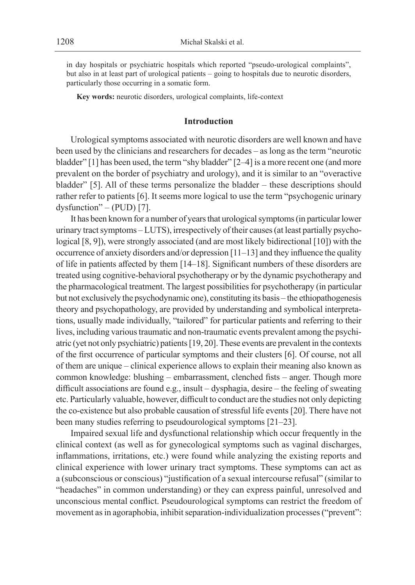in day hospitals or psychiatric hospitals which reported "pseudo-urological complaints", but also in at least part of urological patients – going to hospitals due to neurotic disorders, particularly those occurring in a somatic form.

**Key words:** neurotic disorders, urological complaints, life-context

#### **Introduction**

Urological symptoms associated with neurotic disorders are well known and have been used by the clinicians and researchers for decades – as long as the term "neurotic bladder" [1] has been used, the term "shy bladder" [2–4] is a more recent one (and more prevalent on the border of psychiatry and urology), and it is similar to an "overactive bladder" [5]. All of these terms personalize the bladder – these descriptions should rather refer to patients [6]. It seems more logical to use the term "psychogenic urinary dysfunction" – (PUD) [7].

It has been known for a number of years that urological symptoms (in particular lower urinary tract symptoms – LUTS), irrespectively of their causes (at least partially psychological [8, 9]), were strongly associated (and are most likely bidirectional [10]) with the occurrence of anxiety disorders and/or depression [11–13] and they influence the quality of life in patients affected by them [14–18]. Significant numbers of these disorders are treated using cognitive-behavioral psychotherapy or by the dynamic psychotherapy and the pharmacological treatment. The largest possibilities for psychotherapy (in particular but not exclusively the psychodynamic one), constituting its basis – the ethiopathogenesis theory and psychopathology, are provided by understanding and symbolical interpretations, usually made individually, "tailored" for particular patients and referring to their lives, including various traumatic and non-traumatic events prevalent among the psychiatric (yet not only psychiatric) patients [19, 20]. These events are prevalent in the contexts of the first occurrence of particular symptoms and their clusters [6]. Of course, not all of them are unique – clinical experience allows to explain their meaning also known as common knowledge: blushing – embarrassment, clenched fists – anger. Though more difficult associations are found e.g., insult – dysphagia, desire – the feeling of sweating etc. Particularly valuable, however, difficult to conduct are the studies not only depicting the co-existence but also probable causation of stressful life events [20]. There have not been many studies referring to pseudourological symptoms [21–23].

Impaired sexual life and dysfunctional relationship which occur frequently in the clinical context (as well as for gynecological symptoms such as vaginal discharges, inflammations, irritations, etc.) were found while analyzing the existing reports and clinical experience with lower urinary tract symptoms. These symptoms can act as a (subconscious or conscious) "justification of a sexual intercourse refusal" (similar to "headaches" in common understanding) or they can express painful, unresolved and unconscious mental conflict. Pseudourological symptoms can restrict the freedom of movement as in agoraphobia, inhibit separation-individualization processes ("prevent":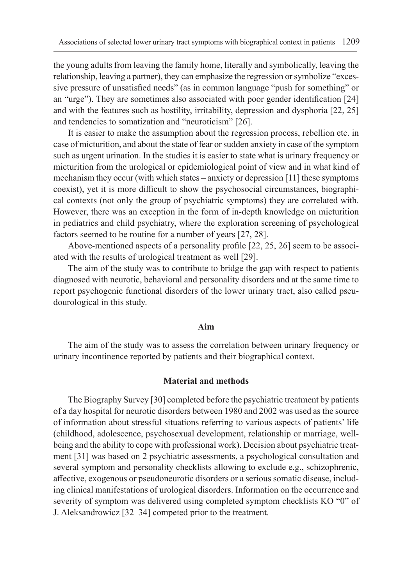the young adults from leaving the family home, literally and symbolically, leaving the relationship, leaving a partner), they can emphasize the regression or symbolize "excessive pressure of unsatisfied needs" (as in common language "push for something" or an "urge"). They are sometimes also associated with poor gender identification [24] and with the features such as hostility, irritability, depression and dysphoria [22, 25] and tendencies to somatization and "neuroticism" [26].

It is easier to make the assumption about the regression process, rebellion etc. in case of micturition, and about the state of fear or sudden anxiety in case of the symptom such as urgent urination. In the studies it is easier to state what is urinary frequency or micturition from the urological or epidemiological point of view and in what kind of mechanism they occur (with which states – anxiety or depression [11] these symptoms coexist), yet it is more difficult to show the psychosocial circumstances, biographical contexts (not only the group of psychiatric symptoms) they are correlated with. However, there was an exception in the form of in-depth knowledge on micturition in pediatrics and child psychiatry, where the exploration screening of psychological factors seemed to be routine for a number of years [27, 28].

Above-mentioned aspects of a personality profile [22, 25, 26] seem to be associated with the results of urological treatment as well [29].

The aim of the study was to contribute to bridge the gap with respect to patients diagnosed with neurotic, behavioral and personality disorders and at the same time to report psychogenic functional disorders of the lower urinary tract, also called pseudourological in this study.

#### **Aim**

The aim of the study was to assess the correlation between urinary frequency or urinary incontinence reported by patients and their biographical context.

### **Material and methods**

The Biography Survey [30] completed before the psychiatric treatment by patients of a day hospital for neurotic disorders between 1980 and 2002 was used as the source of information about stressful situations referring to various aspects of patients' life (childhood, adolescence, psychosexual development, relationship or marriage, wellbeing and the ability to cope with professional work). Decision about psychiatric treatment [31] was based on 2 psychiatric assessments, a psychological consultation and several symptom and personality checklists allowing to exclude e.g., schizophrenic, affective, exogenous or pseudoneurotic disorders or a serious somatic disease, including clinical manifestations of urological disorders. Information on the occurrence and severity of symptom was delivered using completed symptom checklists KO "0" of J. Aleksandrowicz [32–34] competed prior to the treatment.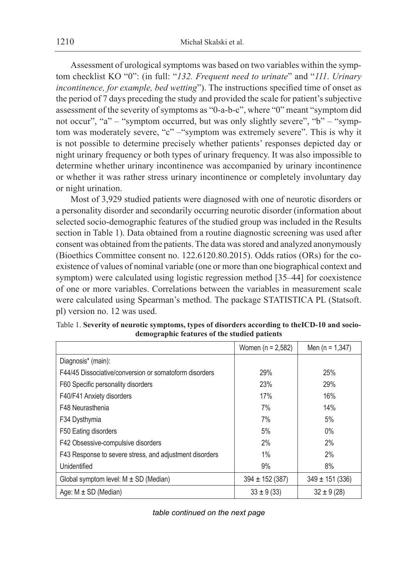Assessment of urological symptoms was based on two variables within the symptom checklist KO "0": (in full: "*132. Frequent need to urinate*" and "*111*. *Urinary incontinence, for example, bed wetting*"). The instructions specified time of onset as the period of 7 days preceding the study and provided the scale for patient's subjective assessment of the severity of symptoms as "0-a-b-c", where "0" meant "symptom did not occur", "a" – "symptom occurred, but was only slightly severe", "b" – "symptom was moderately severe, "c" –"symptom was extremely severe". This is why it is not possible to determine precisely whether patients' responses depicted day or night urinary frequency or both types of urinary frequency. It was also impossible to determine whether urinary incontinence was accompanied by urinary incontinence or whether it was rather stress urinary incontinence or completely involuntary day or night urination.

Most of 3,929 studied patients were diagnosed with one of neurotic disorders or a personality disorder and secondarily occurring neurotic disorder (information about selected socio-demographic features of the studied group was included in the Results section in Table 1). Data obtained from a routine diagnostic screening was used after consent was obtained from the patients. The data was stored and analyzed anonymously (Bioethics Committee consent no. 122.6120.80.2015). Odds ratios (ORs) for the coexistence of values of nominal variable (one or more than one biographical context and symptom) were calculated using logistic regression method [35–44] for coexistence of one or more variables. Correlations between the variables in measurement scale were calculated using Spearman's method. The package STATISTICA PL (Statsoft. pl) version no. 12 was used.

|                                                         | Women ( $n = 2,582$ ) | Men ( $n = 1,347$ ) |
|---------------------------------------------------------|-----------------------|---------------------|
| Diagnosis* (main):                                      |                       |                     |
| F44/45 Dissociative/conversion or somatoform disorders  | 29%                   | 25%                 |
| F60 Specific personality disorders                      | 23%                   | 29%                 |
| F40/F41 Anxiety disorders                               | 17%                   | 16%                 |
| F48 Neurasthenia                                        | 7%                    | 14%                 |
| F34 Dysthymia                                           | 7%                    | 5%                  |
| F50 Eating disorders                                    | 5%                    | $0\%$               |
| F42 Obsessive-compulsive disorders                      | 2%                    | 2%                  |
| F43 Response to severe stress, and adjustment disorders | 1%                    | 2%                  |
| Unidentified                                            | 9%                    | 8%                  |
| Global symptom level: $M \pm SD$ (Median)               | $394 \pm 152(387)$    | $349 \pm 151 (336)$ |
| Age: $M \pm SD$ (Median)                                | $33 \pm 9(33)$        | $32 \pm 9(28)$      |

Table 1. **Severity of neurotic symptoms, types of disorders according to theICD-10 and sociodemographic features of the studied patients**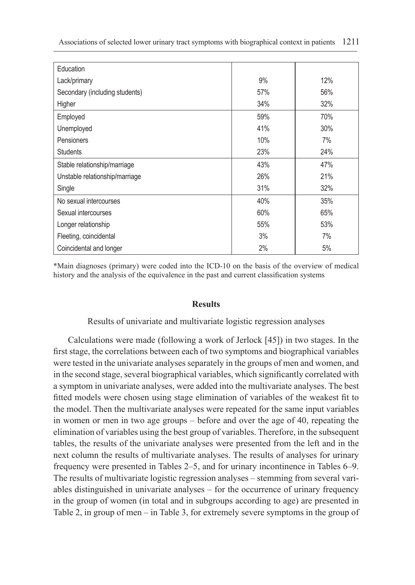| Education                      |     |     |
|--------------------------------|-----|-----|
| Lack/primary                   | 9%  | 12% |
| Secondary (including students) | 57% | 56% |
| Higher                         | 34% | 32% |
| Employed                       | 59% | 70% |
| Unemployed                     | 41% | 30% |
| <b>Pensioners</b>              | 10% | 7%  |
| <b>Students</b>                | 23% | 24% |
| Stable relationship/marriage   | 43% | 47% |
| Unstable relationship/marriage | 26% | 21% |
| Single                         | 31% | 32% |
| No sexual intercourses         | 40% | 35% |
| Sexual intercourses            | 60% | 65% |
| Longer relationship            | 55% | 53% |
| Fleeting, coincidental         | 3%  | 7%  |
| Coincidental and longer        | 2%  | 5%  |

\*Main diagnoses (primary) were coded into the ICD-10 on the basis of the overview of medical history and the analysis of the equivalence in the past and current classification systems

#### **Results**

Results of univariate and multivariate logistic regression analyses

Calculations were made (following a work of Jerlock [45]) in two stages. In the first stage, the correlations between each of two symptoms and biographical variables were tested in the univariate analyses separately in the groups of men and women, and in the second stage, several biographical variables, which significantly correlated with a symptom in univariate analyses, were added into the multivariate analyses. The best fitted models were chosen using stage elimination of variables of the weakest fit to the model. Then the multivariate analyses were repeated for the same input variables in women or men in two age groups – before and over the age of 40, repeating the elimination of variables using the best group of variables. Therefore, in the subsequent tables, the results of the univariate analyses were presented from the left and in the next column the results of multivariate analyses. The results of analyses for urinary frequency were presented in Tables 2–5, and for urinary incontinence in Tables 6–9. The results of multivariate logistic regression analyses – stemming from several variables distinguished in univariate analyses – for the occurrence of urinary frequency in the group of women (in total and in subgroups according to age) are presented in Table 2, in group of men – in Table 3, for extremely severe symptoms in the group of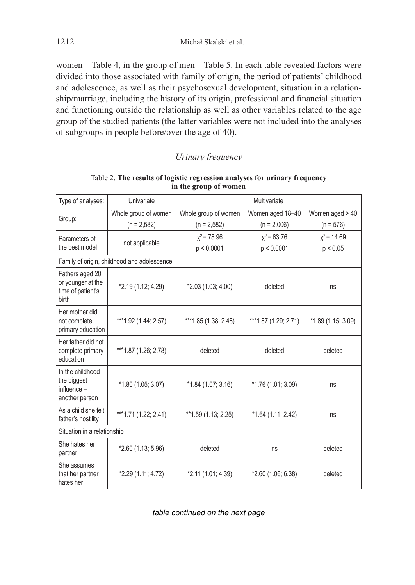1212 Michał Skalski et al.

women – Table 4, in the group of men – Table 5. In each table revealed factors were divided into those associated with family of origin, the period of patients' childhood and adolescence, as well as their psychosexual development, situation in a relationship/marriage, including the history of its origin, professional and financial situation and functioning outside the relationship as well as other variables related to the age group of the studied patients (the latter variables were not included into the analyses of subgroups in people before/over the age of 40).

# *Urinary frequency*

| Type of analyses:                                                  | Univariate                                  |                       | Multivariate         |                    |
|--------------------------------------------------------------------|---------------------------------------------|-----------------------|----------------------|--------------------|
|                                                                    | Whole group of women                        | Whole group of women  | Women aged 18-40     | Women aged > 40    |
| Group:                                                             | $(n = 2.582)$                               | $(n = 2,582)$         | $(n = 2,006)$        | $(n = 576)$        |
| Parameters of                                                      | not applicable                              | $x^2$ = 78.96         | $x^2$ = 63.76        | $x^2$ = 14.69      |
| the best model                                                     |                                             | p < 0.0001            | p < 0.0001           | p < 0.05           |
|                                                                    | Family of origin, childhood and adolescence |                       |                      |                    |
| Fathers aged 20<br>or younger at the<br>time of patient's<br>birth | *2.19 (1.12; 4.29)                          | $*2.03(1.03; 4.00)$   | deleted              | ns                 |
| Her mother did<br>not complete<br>primary education                | *** 1.92 (1.44; 2.57)                       | *** 1.85 (1.38; 2.48) | ***1.87 (1.29; 2.71) | *1.89 (1.15; 3.09) |
| Her father did not<br>complete primary<br>education                | *** 1.87 (1.26; 2.78)                       | deleted               | deleted              | deleted            |
| In the childhood<br>the biggest<br>$influence -$<br>another person | *1.80 (1.05; 3.07)                          | $*1.84(1.07; 3.16)$   | *1.76 (1.01; 3.09)   | ns                 |
| As a child she felt<br>father's hostility                          | ***1.71 (1.22; 2.41)                        | **1.59 (1.13; 2.25)   | *1.64 (1.11; 2.42)   | ns                 |
| Situation in a relationship                                        |                                             |                       |                      |                    |
| She hates her<br>partner                                           | *2.60 (1.13; 5.96)                          | deleted               | ns                   | deleted            |
| She assumes<br>that her partner<br>hates her                       | *2.29 (1.11; 4.72)                          | $*2.11(1.01; 4.39)$   | *2.60 (1.06; 6.38)   | deleted            |

Table 2. **The results of logistic regression analyses for urinary frequency in the group of women**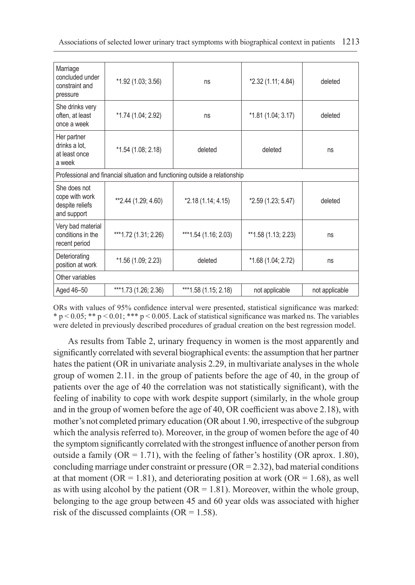| Marriage<br>concluded under<br>constraint and<br>pressure        | *1.92 (1.03; 3.56)                                                          | ns                   | *2.32 (1.11; 4.84)  | deleted        |
|------------------------------------------------------------------|-----------------------------------------------------------------------------|----------------------|---------------------|----------------|
| She drinks very<br>often, at least<br>once a week                | *1.74 (1.04; 2.92)                                                          | ns                   | $*1.81(1.04; 3.17)$ | deleted        |
| Her partner<br>drinks a lot.<br>at least once<br>a week          | $*1.54(1.08; 2.18)$                                                         | deleted              | deleted             | ns             |
|                                                                  | Professional and financial situation and functioning outside a relationship |                      |                     |                |
| She does not<br>cope with work<br>despite reliefs<br>and support | **2.44 (1.29; 4.60)                                                         | *2.18 (1.14; 4.15)   | *2.59 (1.23; 5.47)  | deleted        |
| Very bad material<br>conditions in the<br>recent period          | ***1.72 (1.31; 2.26)                                                        | ***1.54 (1.16; 2.03) | **1.58 (1.13; 2.23) | ns             |
| Deteriorating<br>position at work                                | *1.56 (1.09; 2.23)                                                          | deleted              | *1.68 (1.04; 2.72)  | ns             |
| Other variables                                                  |                                                                             |                      |                     |                |
| Aged 46-50                                                       | ***1.73 (1.26; 2.36)                                                        | ***1.58 (1.15; 2.18) | not applicable      | not applicable |

ORs with values of 95% confidence interval were presented, statistical significance was marked:  $* p < 0.05; ** p < 0.01; *** p < 0.005$ . Lack of statistical significance was marked ns. The variables were deleted in previously described procedures of gradual creation on the best regression model.

As results from Table 2, urinary frequency in women is the most apparently and significantly correlated with several biographical events: the assumption that her partner hates the patient (OR in univariate analysis 2.29, in multivariate analyses in the whole group of women 2.11. in the group of patients before the age of 40, in the group of patients over the age of 40 the correlation was not statistically significant), with the feeling of inability to cope with work despite support (similarly, in the whole group and in the group of women before the age of 40, OR coefficient was above 2.18), with mother's not completed primary education (OR about 1.90, irrespective of the subgroup which the analysis referred to). Moreover, in the group of women before the age of 40 the symptom significantly correlated with the strongest influence of another person from outside a family (OR = 1.71), with the feeling of father's hostility (OR aprox. 1.80), concluding marriage under constraint or pressure  $(OR = 2.32)$ , bad material conditions at that moment ( $OR = 1.81$ ), and deteriorating position at work ( $OR = 1.68$ ), as well as with using alcohol by the patient ( $OR = 1.81$ ). Moreover, within the whole group, belonging to the age group between 45 and 60 year olds was associated with higher risk of the discussed complaints ( $OR = 1.58$ ).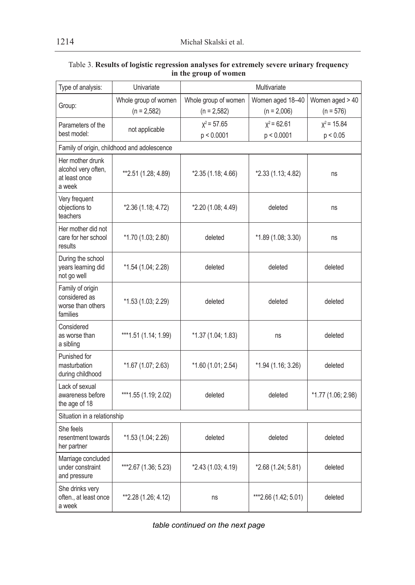| Type of analysis:                                                  | Univariate                                  |                      | Multivariate         |                    |
|--------------------------------------------------------------------|---------------------------------------------|----------------------|----------------------|--------------------|
| Group:                                                             | Whole group of women                        | Whole group of women | Women aged 18-40     | Women aged > 40    |
|                                                                    | $(n = 2,582)$                               | $(n = 2,582)$        | $(n = 2,006)$        | $(n = 576)$        |
| Parameters of the                                                  | not applicable                              | $x^2 = 57.65$        | $x^2$ = 62.61        | $x^2$ = 15.84      |
| best model:                                                        |                                             | p < 0.0001           | p < 0.0001           | p < 0.05           |
|                                                                    | Family of origin, childhood and adolescence |                      |                      |                    |
| Her mother drunk<br>alcohol very often,<br>at least once<br>a week | **2.51 (1.28; 4.89)                         | *2.35 (1.18; 4.66)   | *2.33 (1.13; 4.82)   | ns                 |
| Very frequent<br>objections to<br>teachers                         | *2.36 (1.18; 4.72)                          | *2.20 (1.08; 4.49)   | deleted              | ns                 |
| Her mother did not<br>care for her school<br>results               | *1.70 (1.03; 2.80)                          | deleted              | *1.89 (1.08; 3.30)   | ns                 |
| During the school<br>vears learning did<br>not go well             | *1.54 (1.04; 2.28)                          | deleted              | deleted              | deleted            |
| Family of origin<br>considered as<br>worse than others<br>families | *1.53 (1.03; 2.29)                          | deleted              | deleted              | deleted            |
| Considered<br>as worse than<br>a sibling                           | *** 1.51 (1.14; 1.99)                       | *1.37 (1.04; 1.83)   | ns                   | deleted            |
| Punished for<br>masturbation<br>during childhood                   | *1.67 (1.07; 2.63)                          | *1.60 (1.01; 2.54)   | *1.94 (1.16; 3.26)   | deleted            |
| Lack of sexual<br>awareness before<br>the age of 18                | ***1.55 (1.19; 2.02)                        | deleted              | deleted              | *1.77 (1.06; 2.98) |
| Situation in a relationship                                        |                                             |                      |                      |                    |
| She feels<br>resentment towards<br>her partner                     | *1.53 (1.04; 2.26)                          | deleted              | deleted              | deleted            |
| Marriage concluded<br>under constraint<br>and pressure             | ***2.67 (1.36; 5.23)                        | *2.43 (1.03; 4.19)   | *2.68 (1.24; 5.81)   | deleted            |
| She drinks very<br>often., at least once<br>a week                 | **2.28 (1.26; 4.12)                         | ns                   | ***2.66 (1.42; 5.01) | deleted            |

#### Table 3. **Results of logistic regression analyses for extremely severe urinary frequency in the group of women**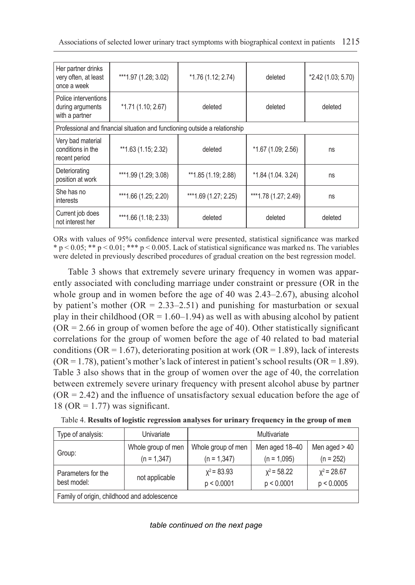| Her partner drinks<br>very often, at least<br>once a week  | ***1.97 (1.28; 3.02)                                                        | $*1.76(1.12; 2.74)$  | deleted               | *2.42 (1.03; 5.70) |
|------------------------------------------------------------|-----------------------------------------------------------------------------|----------------------|-----------------------|--------------------|
| Police interventions<br>during arguments<br>with a partner | *1.71 (1.10; 2.67)                                                          | deleted              | deleted               | deleted            |
|                                                            | Professional and financial situation and functioning outside a relationship |                      |                       |                    |
| Very bad material<br>conditions in the<br>recent period    | **1.63 (1.15; 2.32)                                                         | deleted              | $*1.67(1.09; 2.56)$   | ns                 |
| Deteriorating<br>position at work                          | *** 1.99 (1.29; 3.08)                                                       | **1.85 (1.19; 2.88)  | $*1.84(1.04.3.24)$    | ns                 |
| She has no<br>interests                                    | ***1.66 (1.25; 2.20)                                                        | ***1.69 (1.27; 2.25) | *** 1.78 (1.27; 2.49) | ns                 |
| Current job does<br>not interest her                       | ***1.66 $(1.18; 2.33)$                                                      | deleted              | deleted               | deleted            |

ORs with values of 95% confidence interval were presented, statistical significance was marked  $* p < 0.05$ ; \*\*  $p < 0.01$ ; \*\*\*  $p < 0.005$ . Lack of statistical significance was marked ns. The variables were deleted in previously described procedures of gradual creation on the best regression model.

Table 3 shows that extremely severe urinary frequency in women was apparently associated with concluding marriage under constraint or pressure (OR in the whole group and in women before the age of 40 was 2.43–2.67), abusing alcohol by patient's mother ( $OR = 2.33-2.51$ ) and punishing for masturbation or sexual play in their childhood ( $OR = 1.60-1.94$ ) as well as with abusing alcohol by patient  $(OR = 2.66$  in group of women before the age of 40). Other statistically significant correlations for the group of women before the age of 40 related to bad material conditions (OR = 1.67), deteriorating position at work (OR = 1.89), lack of interests  $(OR = 1.78)$ , patient's mother's lack of interest in patient's school results  $(OR = 1.89)$ . Table 3 also shows that in the group of women over the age of 40, the correlation between extremely severe urinary frequency with present alcohol abuse by partner  $(OR = 2.42)$  and the influence of unsatisfactory sexual education before the age of 18 (OR = 1.77) was significant.

| Table 4. Results of logistic regression analyses for urinary frequency in the group of men |  |  |  |  |
|--------------------------------------------------------------------------------------------|--|--|--|--|
|--------------------------------------------------------------------------------------------|--|--|--|--|

| Type of analysis:                           | Univariate         |                    | Multivariate   |                 |
|---------------------------------------------|--------------------|--------------------|----------------|-----------------|
| Group:                                      | Whole group of men | Whole group of men | Men aged 18-40 | Men aged $> 40$ |
|                                             | $(n = 1,347)$      | $(n = 1,347)$      | $(n = 1.095)$  | $(n = 252)$     |
| Parameters for the                          |                    | $x^2$ = 83.93      | $x^2$ = 58.22  | $x^2$ = 28.67   |
| best model:                                 | not applicable     | p < 0.0001         | p < 0.0001     | p < 0.0005      |
| Family of origin, childhood and adolescence |                    |                    |                |                 |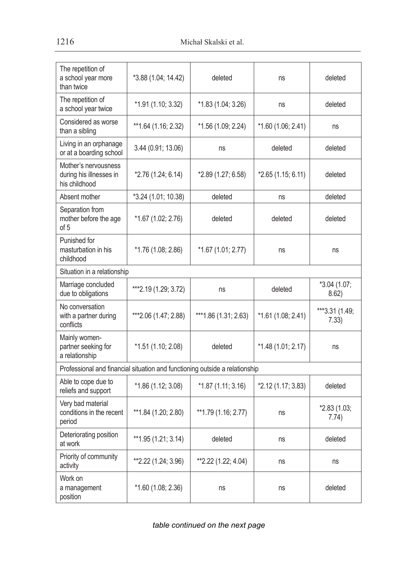| The repetition of<br>a school year more<br>than twice                       | *3.88 (1.04; 14.42)  | deleted               | ns                 | deleted                 |
|-----------------------------------------------------------------------------|----------------------|-----------------------|--------------------|-------------------------|
| The repetition of<br>a school year twice                                    | *1.91 (1.10; 3.32)   | *1.83 (1.04; 3.26)    | ns                 | deleted                 |
| Considered as worse<br>than a sibling                                       | **1.64 (1.16; 2.32)  | *1.56 (1.09; 2.24)    | *1.60 (1.06; 2.41) | ns                      |
| Living in an orphanage<br>or at a boarding school                           | 3.44(0.91; 13.06)    | ns                    | deleted            | deleted                 |
| Mother's nervousness<br>during his illnesses in<br>his childhood            | *2.76 (1.24; 6.14)   | *2.89 (1.27; 6.58)    | *2.65 (1.15; 6.11) | deleted                 |
| Absent mother                                                               | *3.24 (1.01; 10.38)  | deleted               | ns                 | deleted                 |
| Separation from<br>mother before the age<br>of 5                            | *1.67 (1.02; 2.76)   | deleted               | deleted            | deleted                 |
| Punished for<br>masturbation in his<br>childhood                            | *1.76 (1.08; 2.86)   | *1.67 (1.01; 2.77)    | ns                 | ns                      |
| Situation in a relationship                                                 |                      |                       |                    |                         |
| Marriage concluded<br>due to obligations                                    | ***2.19 (1.29; 3.72) | ns                    | deleted            | *3.04 (1.07;<br>8.62    |
| No conversation<br>with a partner during<br>conflicts                       | ***2.06 (1.47; 2.88) | *** 1.86 (1.31; 2.63) | *1.61 (1.08; 2.41) | ***3.31 (1.49;<br>7.33) |
| Mainly women-<br>partner seeking for<br>a relationship                      | *1.51 (1.10; 2.08)   | deleted               | *1.48 (1.01; 2.17) | ns                      |
| Professional and financial situation and functioning outside a relationship |                      |                       |                    |                         |
| Able to cope due to<br>reliefs and support                                  | *1.86 (1.12; 3.08)   | $*1.87(1.11; 3.16)$   | *2.12 (1.17; 3.83) | deleted                 |
| Very bad material<br>conditions in the recent<br>period                     | ** 1.84 (1.20; 2.80) | **1.79 (1.16; 2.77)   | ns                 | *2.83 (1.03;<br>7.74)   |
| Deteriorating position<br>at work                                           | **1.95 (1.21; 3.14)  | deleted               | ns                 | deleted                 |
| Priority of community<br>activity                                           | **2.22 (1.24; 3.96)  | **2.22 (1.22; 4.04)   | ns                 | ns                      |
| Work on<br>a management<br>position                                         | *1.60 (1.08; 2.36)   | ns                    | ns                 | deleted                 |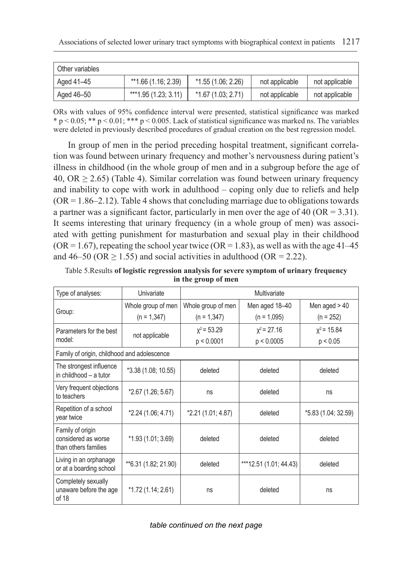| Other variables |                        |                     |                |                |
|-----------------|------------------------|---------------------|----------------|----------------|
| Aged 41–45      | **1.66 (1.16; 2.39)    | $*1.55(1.06; 2.26)$ | not applicable | not applicable |
| Aged 46-50      | ***1.95 $(1.23; 3.11)$ | $*1.67(1.03; 2.71)$ | not applicable | not applicable |

ORs with values of 95% confidence interval were presented, statistical significance was marked  $* p < 0.05$ ;  $** p < 0.01$ ;  $*** p < 0.005$ . Lack of statistical significance was marked ns. The variables were deleted in previously described procedures of gradual creation on the best regression model.

In group of men in the period preceding hospital treatment, significant correlation was found between urinary frequency and mother's nervousness during patient's illness in childhood (in the whole group of men and in a subgroup before the age of 40,  $OR > 2.65$ ) (Table 4). Similar correlation was found between urinary frequency and inability to cope with work in adulthood – coping only due to reliefs and help  $(OR = 1.86 - 2.12)$ . Table 4 shows that concluding marriage due to obligations towards a partner was a significant factor, particularly in men over the age of 40 (OR  $= 3.31$ ). It seems interesting that urinary frequency (in a whole group of men) was associated with getting punishment for masturbation and sexual play in their childhood  $(OR = 1.67)$ , repeating the school year twice  $(OR = 1.83)$ , as well as with the age 41–45 and 46–50 (OR  $\geq$  1.55) and social activities in adulthood (OR = 2.22).

| Type of analyses:                                               | Univariate            | Multivariate       |                        |                     |  |
|-----------------------------------------------------------------|-----------------------|--------------------|------------------------|---------------------|--|
|                                                                 | Whole group of men    | Whole group of men | Men aged 18-40         | Men aged $> 40$     |  |
| Group:                                                          | $(n = 1,347)$         | $(n = 1,347)$      | $(n = 1,095)$          | $(n = 252)$         |  |
| Parameters for the best                                         | not applicable        | $x^2$ = 53.29      | $x^2$ = 27.16          | $x^2$ = 15.84       |  |
| model:                                                          |                       | p < 0.0001         | p < 0.0005             | p < 0.05            |  |
| Family of origin, childhood and adolescence                     |                       |                    |                        |                     |  |
| The strongest influence<br>in childhood - a tutor               | *3.38 (1.08; 10.55)   | deleted            | deleted                | deleted             |  |
| Very frequent objections<br>to teachers                         | *2.67 (1.26; 5.67)    | ns                 | deleted                | ns                  |  |
| Repetition of a school<br>year twice                            | *2.24 (1.06; 4.71)    | *2.21 (1.01; 4.87) | deleted                | *5.83 (1.04; 32.59) |  |
| Family of origin<br>considered as worse<br>than others families | *1.93 (1.01; 3.69)    | deleted            | deleted                | deleted             |  |
| Living in an orphanage<br>or at a boarding school               | ** 6.31 (1.82; 21.90) | deleted            | ***12.51 (1.01; 44.43) | deleted             |  |
| Completely sexually<br>unaware before the age<br>of 18          | *1.72 (1.14; 2.61)    | ns                 | deleted                | ns                  |  |

Table 5.Results **of logistic regression analysis for severe symptom of urinary frequency in the group of men**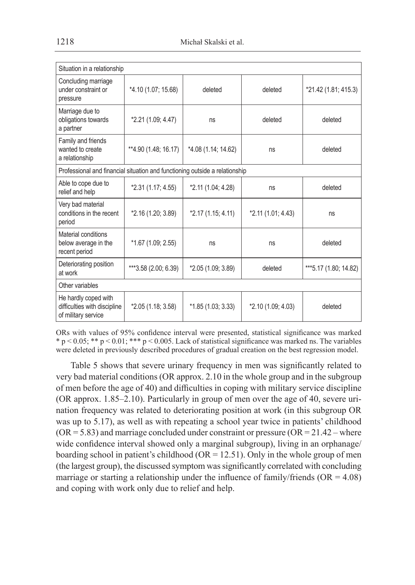| Situation in a relationship                                                 |                      |                     |                    |                        |  |
|-----------------------------------------------------------------------------|----------------------|---------------------|--------------------|------------------------|--|
| Concluding marriage<br>under constraint or<br>pressure                      | *4.10 (1.07; 15.68)  | deleted             | deleted            | *21.42 (1.81; 415.3)   |  |
| Marriage due to<br>obligations towards<br>a partner                         | *2.21 (1.09; 4.47)   | ns                  | deleted            | deleted                |  |
| Family and friends<br>wanted to create<br>a relationship                    | **4.90 (1.48; 16.17) | *4.08 (1.14; 14.62) | ns                 | deleted                |  |
| Professional and financial situation and functioning outside a relationship |                      |                     |                    |                        |  |
| Able to cope due to<br>relief and help                                      | *2.31 (1.17; 4.55)   | *2.11 (1.04; 4.28)  | ns                 | deleted                |  |
| Very bad material<br>conditions in the recent<br>period                     | *2.16 (1.20; 3.89)   | *2.17 (1.15; 4.11)  | *2.11 (1.01; 4.43) | ns                     |  |
| Material conditions<br>below average in the<br>recent period                | *1.67 (1.09; 2.55)   | ns                  | ns                 | deleted                |  |
| Deteriorating position<br>at work                                           | ***3.58 (2.00; 6.39) | *2.05 (1.09; 3.89)  | deleted            | *** 5.17 (1.80; 14.82) |  |
| Other variables                                                             |                      |                     |                    |                        |  |
| He hardly coped with<br>difficulties with discipline<br>of military service | $*2.05(1.18; 3.58)$  | $*1.85(1.03; 3.33)$ | *2.10 (1.09; 4.03) | deleted                |  |

ORs with values of 95% confidence interval were presented, statistical significance was marked  $* p < 0.05; ** p < 0.01; *** p < 0.005$ . Lack of statistical significance was marked ns. The variables were deleted in previously described procedures of gradual creation on the best regression model.

Table 5 shows that severe urinary frequency in men was significantly related to very bad material conditions (OR approx. 2.10 in the whole group and in the subgroup of men before the age of 40) and difficulties in coping with military service discipline (OR approx. 1.85–2.10). Particularly in group of men over the age of 40, severe urination frequency was related to deteriorating position at work (in this subgroup OR was up to 5.17), as well as with repeating a school year twice in patients' childhood  $(OR = 5.83)$  and marriage concluded under constraint or pressure  $(OR = 21.42 - \text{where}$ wide confidence interval showed only a marginal subgroup), living in an orphanage/ boarding school in patient's childhood ( $OR = 12.51$ ). Only in the whole group of men (the largest group), the discussed symptom was significantly correlated with concluding marriage or starting a relationship under the influence of family/friends  $(OR = 4.08)$ and coping with work only due to relief and help.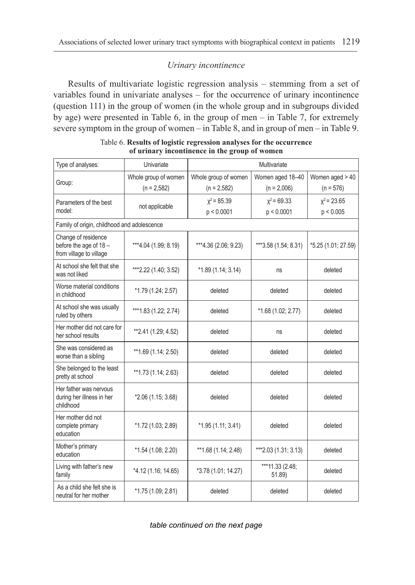## *Urinary incontinence*

Results of multivariate logistic regression analysis – stemming from a set of variables found in univariate analyses – for the occurrence of urinary incontinence (question 111) in the group of women (in the whole group and in subgroups divided by age) were presented in Table 6, in the group of men – in Table 7, for extremely severe symptom in the group of women – in Table 8, and in group of men – in Table 9.

| Type of analyses:                                                        | Univariate            | Multivariate         |                           |                     |  |
|--------------------------------------------------------------------------|-----------------------|----------------------|---------------------------|---------------------|--|
|                                                                          | Whole group of women  | Whole group of women | Women aged 18-40          | Women aged > 40     |  |
| Group:                                                                   | $(n = 2.582)$         | $(n = 2.582)$        | $(n = 2,006)$             | $(n = 576)$         |  |
| Parameters of the best                                                   |                       | $x^2$ = 85.39        | $x^2$ = 69.33             | $x^2$ = 23.65       |  |
| model:                                                                   | not applicable        | p < 0.0001           | p < 0.0001                | p < 0.005           |  |
| Family of origin, childhood and adolescence                              |                       |                      |                           |                     |  |
| Change of residence<br>before the age of 18 -<br>from village to village | ***4.04 (1.99; 8.19)  | ***4.36 (2.06; 9.23) | ***3.58 (1.54; 8.31)      | *5.25 (1.01; 27.59) |  |
| At school she felt that she<br>was not liked                             | ***2.22 (1.40; 3.52)  | $*1.89(1.14, 3.14)$  | ns                        | deleted             |  |
| Worse material conditions<br>in childhood                                | *1.79 (1.24; 2.57)    | deleted              | deleted                   | deleted             |  |
| At school she was usually<br>ruled by others                             | *** 1.83 (1.22; 2.74) | deleted              | *1.68 (1.02; 2.77)        | deleted             |  |
| Her mother did not care for<br>her school results                        | **2.41 (1.29; 4.52)   | deleted              | ns                        | deleted             |  |
| She was considered as<br>worse than a sibling                            | ** 1.69 (1.14; 2.50)  | deleted              | deleted                   | deleted             |  |
| She belonged to the least<br>pretty at school                            | **1.73 (1.14; 2.63)   | deleted              | deleted                   | deleted             |  |
| Her father was nervous<br>during her illness in her<br>childhood         | *2.06 (1.15; 3.68)    | deleted              | deleted                   | deleted             |  |
| Her mother did not<br>complete primary<br>education                      | *1.72 (1.03; 2.89)    | *1.95 (1.11; 3.41)   | deleted                   | deleted             |  |
| Mother's primary<br>education                                            | *1.54 (1.08; 2.20)    | **1.68 (1.14; 2.48)  | ***2.03 (1.31; 3.13)      | deleted             |  |
| Living with father's new<br>family                                       | *4.12 (1.16; 14.65)   | *3.78 (1.01; 14.27)  | ***11.33 (2.48;<br>51.89) | deleted             |  |
| As a child she felt she is<br>neutral for her mother                     | *1.75 (1.09; 2.81)    | deleted              | deleted                   | deleted             |  |

Table 6. **Results of logistic regression analyses for the occurrence of urinary incontinence in the group of women**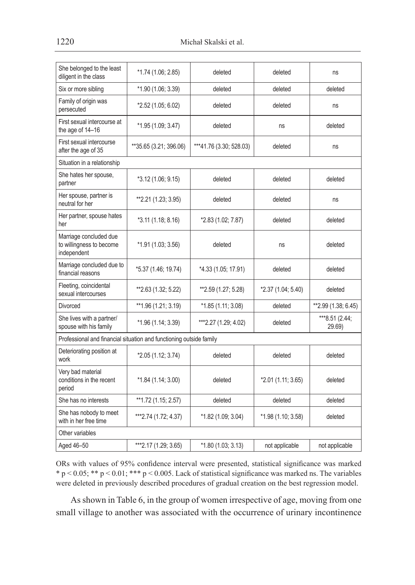| She belonged to the least<br>diligent in the class                  | *1.74 (1.06; 2.85)     | deleted                 | deleted            | ns                       |
|---------------------------------------------------------------------|------------------------|-------------------------|--------------------|--------------------------|
| Six or more sibling                                                 | *1.90 (1.06; 3.39)     | deleted                 | deleted            | deleted                  |
| Family of origin was<br>persecuted                                  | *2.52 (1.05; 6.02)     | deleted                 | deleted            | ns                       |
| First sexual intercourse at<br>the age of 14-16                     | *1.95 (1.09; 3.47)     | deleted                 | ns                 | deleted                  |
| First sexual intercourse<br>after the age of 35                     | **35.65 (3.21; 396.06) | ***41.76 (3.30; 528.03) | deleted            | ns                       |
| Situation in a relationship                                         |                        |                         |                    |                          |
| She hates her spouse,<br>partner                                    | *3.12 (1.06; 9.15)     | deleted                 | deleted            | deleted                  |
| Her spouse, partner is<br>neutral for her                           | **2.21 (1.23; 3.95)    | deleted                 | deleted            | ns                       |
| Her partner, spouse hates<br>her                                    | *3.11 (1.18; 8.16)     | *2.83 (1.02; 7.87)      | deleted            | deleted                  |
| Marriage concluded due<br>to willingness to become<br>independent   | *1.91 (1.03; 3.56)     | deleted                 | ns                 | deleted                  |
| Marriage concluded due to<br>financial reasons                      | *5.37 (1.46; 19.74)    | *4.33 (1.05; 17.91)     | deleted            | deleted                  |
| Fleeting, coincidental<br>sexual intercourses                       | **2.63 (1.32; 5.22)    | **2.59 (1.27; 5.28)     | *2.37 (1.04; 5.40) | deleted                  |
| Divorced                                                            | **1.96 (1.21; 3.19)    | *1.85 (1.11; 3.08)      | deleted            | ** 2.99 (1.38; 6.45)     |
| She lives with a partner/<br>spouse with his family                 | *1.96 (1.14; 3.39)     | ***2.27 (1.29; 4.02)    | deleted            | ***8.51 (2.44;<br>29.69) |
| Professional and financial situation and functioning outside family |                        |                         |                    |                          |
| Deteriorating position at<br>work                                   | *2.05 (1.12; 3.74)     | deleted                 | deleted            | deleted                  |
| Very bad material<br>conditions in the recent<br>period             | *1.84 (1.14; 3.00)     | deleted                 | *2.01 (1.11; 3.65) | deleted                  |
| She has no interests                                                | **1.72 (1.15; 2.57)    | deleted                 | deleted            | deleted                  |
| She has nobody to meet<br>with in her free time                     | ***2.74 (1.72; 4.37)   | *1.82 (1.09; 3.04)      | *1.98 (1.10; 3.58) | deleted                  |
| Other variables                                                     |                        |                         |                    |                          |
| Aged 46-50                                                          | *** 2.17 (1.29; 3.65)  | *1.80 (1.03; 3.13)      | not applicable     | not applicable           |

ORs with values of 95% confidence interval were presented, statistical significance was marked \* p < 0.05; \*\* p < 0.01; \*\*\* p < 0.005. Lack of statistical significance was marked ns. The variables were deleted in previously described procedures of gradual creation on the best regression model.

As shown in Table 6, in the group of women irrespective of age, moving from one small village to another was associated with the occurrence of urinary incontinence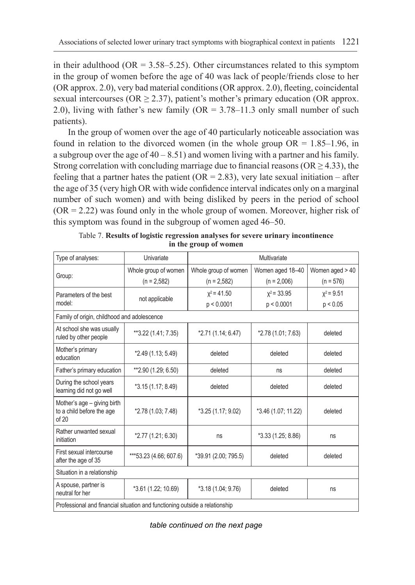in their adulthood (OR  $= 3.58 - 5.25$ ). Other circumstances related to this symptom in the group of women before the age of 40 was lack of people/friends close to her (OR approx. 2.0), very bad material conditions (OR approx. 2.0), fleeting, coincidental sexual intercourses ( $OR \ge 2.37$ ), patient's mother's primary education (OR approx. 2.0), living with father's new family ( $OR = 3.78-11.3$  only small number of such patients).

In the group of women over the age of 40 particularly noticeable association was found in relation to the divorced women (in the whole group  $OR = 1.85-1.96$ , in a subgroup over the age of  $40 - 8.51$ ) and women living with a partner and his family. Strong correlation with concluding marriage due to financial reasons ( $OR \ge 4.33$ ), the feeling that a partner hates the patient ( $OR = 2.83$ ), very late sexual initiation – after the age of 35 (very high OR with wide confidence interval indicates only on a marginal number of such women) and with being disliked by peers in the period of school  $(OR = 2.22)$  was found only in the whole group of women. Moreover, higher risk of this symptom was found in the subgroup of women aged 46–50.

| Type of analyses:                                                           | Univariate             | Multivariate         |                     |                   |  |  |
|-----------------------------------------------------------------------------|------------------------|----------------------|---------------------|-------------------|--|--|
|                                                                             | Whole group of women   | Whole group of women | Women aged 18-40    | Women aged $> 40$ |  |  |
| Group:                                                                      | $(n = 2.582)$          | $(n = 2,582)$        | $(n = 2,006)$       | $(n = 576)$       |  |  |
| Parameters of the best                                                      | not applicable         | $x^2$ = 41.50        | $x^2$ = 33.95       | $x^2 = 9.51$      |  |  |
| model:                                                                      |                        | p < 0.0001           | p < 0.0001          | p < 0.05          |  |  |
| Family of origin, childhood and adolescence                                 |                        |                      |                     |                   |  |  |
| At school she was usually<br>ruled by other people                          | **3.22 (1.41; 7.35)    | *2.71 (1.14; 6.47)   | *2.78 (1.01; 7.63)  | deleted           |  |  |
| Mother's primary<br>education                                               | *2.49 (1.13; 5.49)     | deleted              | deleted             | deleted           |  |  |
| Father's primary education                                                  | **2.90 (1.29; 6.50)    | deleted              | ns                  | deleted           |  |  |
| During the school years<br>learning did not go well                         | *3.15 (1.17; 8.49)     | deleted              | deleted             | deleted           |  |  |
| Mother's age - giving birth<br>to a child before the age<br>of 20           | *2.78 (1.03; 7.48)     | *3.25 (1.17; 9.02)   | *3.46 (1.07; 11.22) | deleted           |  |  |
| Rather unwanted sexual<br>initiation                                        | *2.77 (1.21; 6.30)     | ns                   | *3.33 (1.25; 8.86)  | ns                |  |  |
| First sexual intercourse<br>after the age of 35                             | ***53.23 (4.66; 607.6) | *39.91 (2.00; 795.5) | deleted             | deleted           |  |  |
| Situation in a relationship                                                 |                        |                      |                     |                   |  |  |
| A spouse, partner is<br>neutral for her                                     | *3.61 (1.22; 10.69)    | *3.18 (1.04; 9.76)   | deleted             | ns                |  |  |
| Professional and financial situation and functioning outside a relationship |                        |                      |                     |                   |  |  |

Table 7. **Results of logistic regression analyses for severe urinary incontinence in the group of women**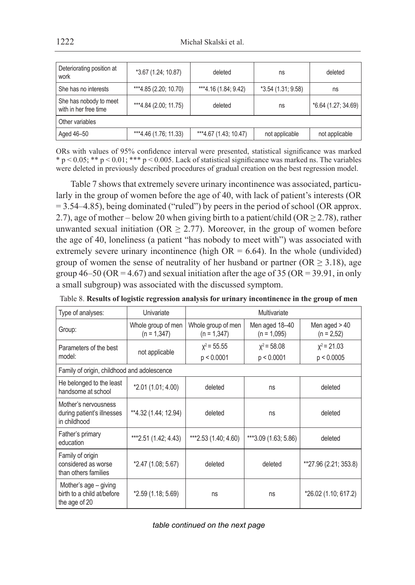| Deteriorating position at<br>work               | *3.67 (1.24; 10.87)<br>deleted<br>ns |                       |                     | deleted             |
|-------------------------------------------------|--------------------------------------|-----------------------|---------------------|---------------------|
| She has no interests                            | ***4.85 (2.20; 10.70)                | ***4.16 (1.84; 9.42)  | $*3.54(1.31; 9.58)$ | ns                  |
| She has nobody to meet<br>with in her free time | ***4.84 (2.00; 11.75)                | deleted               | ns                  | *6.64 (1.27; 34.69) |
| Other variables                                 |                                      |                       |                     |                     |
| Aged 46-50                                      | $***4.46(1.76, 11.33)$               | ***4.67 (1.43, 10.47) | not applicable      | not applicable      |

ORs with values of 95% confidence interval were presented, statistical significance was marked \* p < 0.05; \*\* p < 0.01; \*\*\* p < 0.005. Lack of statistical significance was marked ns. The variables were deleted in previously described procedures of gradual creation on the best regression model.

Table 7 shows that extremely severe urinary incontinence was associated, particularly in the group of women before the age of 40, with lack of patient's interests (OR  $= 3.54-4.85$ ), being dominated ("ruled") by peers in the period of school (OR approx. 2.7), age of mother – below 20 when giving birth to a patient/child ( $OR \ge 2.78$ ), rather unwanted sexual initiation ( $OR \ge 2.77$ ). Moreover, in the group of women before the age of 40, loneliness (a patient "has nobody to meet with") was associated with extremely severe urinary incontinence (high  $OR = 6.64$ ). In the whole (undivided) group of women the sense of neutrality of her husband or partner (OR  $\geq$  3.18), age group  $46-50$  (OR = 4.67) and sexual initiation after the age of 35 (OR = 39.91, in only a small subgroup) was associated with the discussed symptom.

| Type of analyses:                                                    | Univariate                          | Multivariate                        |                                 |                                |  |
|----------------------------------------------------------------------|-------------------------------------|-------------------------------------|---------------------------------|--------------------------------|--|
| Group:                                                               | Whole group of men<br>$(n = 1,347)$ | Whole group of men<br>$(n = 1,347)$ | Men aged 18-40<br>$(n = 1,095)$ | Men aged $>40$<br>$(n = 2.52)$ |  |
| Parameters of the best<br>model:                                     | not applicable                      | $x^2$ = 55.55<br>p < 0.0001         | $x^2$ = 58.08<br>p < 0.0001     | $x^2$ = 21.03<br>p < 0.0005    |  |
| Family of origin, childhood and adolescence                          |                                     |                                     |                                 |                                |  |
| He belonged to the least<br>handsome at school                       | *2.01 (1.01; 4.00)                  | deleted                             | ns                              | deleted                        |  |
| Mother's nervousness<br>during patient's illnesses<br>in childhood   | **4.32 (1.44; 12.94)                | deleted                             | ns                              | deleted                        |  |
| Father's primary<br>education                                        | ***2.51 $(1.42; 4.43)$              | ***2.53 (1.40; 4.60)                | ***3.09 (1.63; 5.86)            | deleted                        |  |
| Family of origin<br>considered as worse<br>than others families      | *2.47 (1.08; 5.67)                  | deleted                             | deleted                         | **27.96 (2.21; 353.8)          |  |
| Mother's age - giving<br>birth to a child at/before<br>the age of 20 | *2.59 (1.18; 5.69)                  | ns                                  | ns                              | *26.02 (1.10; 617.2)           |  |

|  |  |  | Table 8. Results of logistic regression analysis for urinary incontinence in the group of men |  |
|--|--|--|-----------------------------------------------------------------------------------------------|--|
|  |  |  |                                                                                               |  |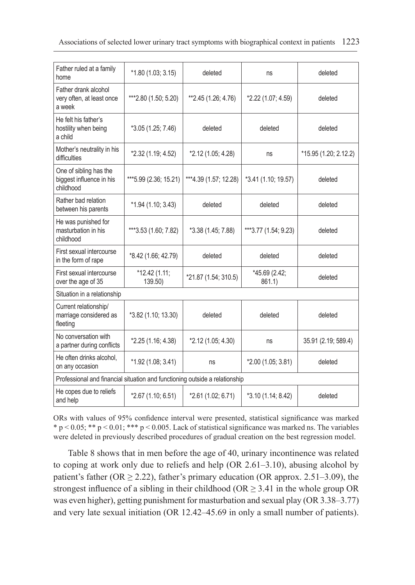| Father ruled at a family<br>home                                            | $*1.80(1.03; 3.15)$       | deleted               | ns                      | deleted               |
|-----------------------------------------------------------------------------|---------------------------|-----------------------|-------------------------|-----------------------|
| Father drank alcohol<br>very often, at least once<br>a week                 | ***2.80 (1.50; 5.20)      | **2.45 (1.26; 4.76)   | *2.22 (1.07; 4.59)      | deleted               |
| He felt his father's<br>hostility when being<br>a child                     | *3.05 (1.25; 7.46)        | deleted               | deleted                 | deleted               |
| Mother's neutrality in his<br>difficulties                                  | *2.32 (1.19; 4.52)        | *2.12 (1.05; 4.28)    | ns                      | *15.95 (1.20; 2.12.2) |
| One of sibling has the<br>biggest influence in his<br>childhood             | *** 5.99 (2.36; 15.21)    | ***4.39 (1.57; 12.28) | *3.41 (1.10; 19.57)     | deleted               |
| Rather bad relation<br>between his parents                                  | $*1.94(1.10; 3.43)$       | deleted               | deleted                 | deleted               |
| He was punished for<br>masturbation in his<br>childhood                     | ***3.53 (1.60; 7.82)      | *3.38 (1.45; 7.88)    | ***3.77 (1.54; 9.23)    | deleted               |
| First sexual intercourse<br>in the form of rape                             | *8.42 (1.66; 42.79)       | deleted               | deleted                 | deleted               |
| First sexual intercourse<br>over the age of 35                              | $*12.42(1.11;$<br>139.50) | *21.87 (1.54; 310.5)  | *45.69 (2.42;<br>861.1) | deleted               |
| Situation in a relationship                                                 |                           |                       |                         |                       |
| Current relationship/<br>marriage considered as<br>fleeting                 | *3.82 (1.10; 13.30)       | deleted               | deleted                 | deleted               |
| No conversation with<br>a partner during conflicts                          | $*2.25(1.16; 4.38)$       | *2.12 (1.05; 4.30)    | ns                      | 35.91 (2.19; 589.4)   |
| He often drinks alcohol.<br>on any occasion                                 | *1.92 (1.08; 3.41)        | ns                    | *2.00 (1.05; 3.81)      | deleted               |
| Professional and financial situation and functioning outside a relationship |                           |                       |                         |                       |
| He copes due to reliefs<br>and help                                         | *2.67 (1.10; 6.51)        | *2.61 (1.02; 6.71)    | *3.10 (1.14; 8.42)      | deleted               |

ORs with values of 95% confidence interval were presented, statistical significance was marked  $* p < 0.05; ** p < 0.01; *** p < 0.005$ . Lack of statistical significance was marked ns. The variables were deleted in previously described procedures of gradual creation on the best regression model.

Table 8 shows that in men before the age of 40, urinary incontinence was related to coping at work only due to reliefs and help (OR 2.61–3.10), abusing alcohol by patient's father (OR  $\geq$  2.22), father's primary education (OR approx. 2.51–3.09), the strongest influence of a sibling in their childhood ( $OR \geq 3.41$  in the whole group OR was even higher), getting punishment for masturbation and sexual play (OR 3.38–3.77) and very late sexual initiation (OR 12.42–45.69 in only a small number of patients).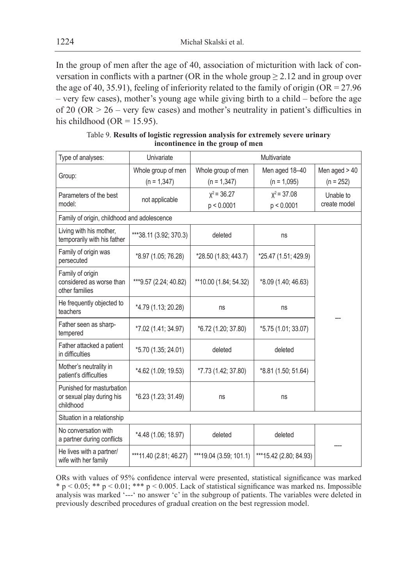In the group of men after the age of 40, association of micturition with lack of conversation in conflicts with a partner (OR in the whole group  $\geq$  2.12 and in group over the age of 40, 35.91), feeling of inferiority related to the family of origin  $(OR = 27.96$ – very few cases), mother's young age while giving birth to a child – before the age of 20 (OR > 26 – very few cases) and mother's neutrality in patient's difficulties in his childhood (OR =  $15.95$ ).

| Type of analyses:                                                   | Univariate             | Multivariate           |                        |                |  |
|---------------------------------------------------------------------|------------------------|------------------------|------------------------|----------------|--|
|                                                                     | Whole group of men     | Whole group of men     | Men aged 18-40         | Men aged $>40$ |  |
| Group:                                                              | $(n = 1,347)$          | $(n = 1,347)$          | $(n = 1,095)$          | $(n = 252)$    |  |
| Parameters of the best                                              |                        | $x^2$ = 36.27          | $x^2$ = 37.08          | Unable to      |  |
| model:                                                              | not applicable         | p < 0.0001             | p < 0.0001             | create model   |  |
| Family of origin, childhood and adolescence                         |                        |                        |                        |                |  |
| Living with his mother,<br>temporarily with his father              | ***38.11 (3.92; 370.3) | deleted                | ns                     |                |  |
| Family of origin was<br>persecuted                                  | *8.97 (1.05; 76.28)    | *28.50 (1.83; 443.7)   | *25.47 (1.51; 429.9)   |                |  |
| Family of origin<br>considered as worse than<br>other families      | ***9.57 (2.24; 40.82)  | **10.00 (1.84; 54.32)  | *8.09 (1.40; 46.63)    |                |  |
| He frequently objected to<br>teachers                               | *4.79 (1.13; 20.28)    | ns                     | ns                     |                |  |
| Father seen as sharp-<br>tempered                                   | *7.02 (1.41; 34.97)    | *6.72 (1.20; 37.80)    | *5.75 (1.01; 33.07)    |                |  |
| Father attacked a patient<br>in difficulties                        | *5.70 (1.35; 24.01)    | deleted                | deleted                |                |  |
| Mother's neutrality in<br>patient's difficulties                    | *4.62 (1.09; 19.53)    | *7.73 (1.42; 37.80)    | *8.81 (1.50; 51.64)    |                |  |
| Punished for masturbation<br>or sexual play during his<br>childhood | *6.23 (1.23; 31.49)    | ns                     | ns                     |                |  |
| Situation in a relationship                                         |                        |                        |                        |                |  |
| No conversation with<br>a partner during conflicts                  | *4.48 (1.06; 18.97)    | deleted                | deleted                |                |  |
| He lives with a partner/<br>wife with her family                    | ***11.40 (2.81; 46.27) | ***19.04 (3.59; 101.1) | ***15.42 (2.80; 84.93) |                |  |

Table 9. **Results of logistic regression analysis for extremely severe urinary incontinence in the group of men**

ORs with values of 95% confidence interval were presented, statistical significance was marked  $* p < 0.05; ** p < 0.01; *** p < 0.005$ . Lack of statistical significance was marked ns. Impossible analysis was marked '---' no answer 'c' in the subgroup of patients. The variables were deleted in previously described procedures of gradual creation on the best regression model.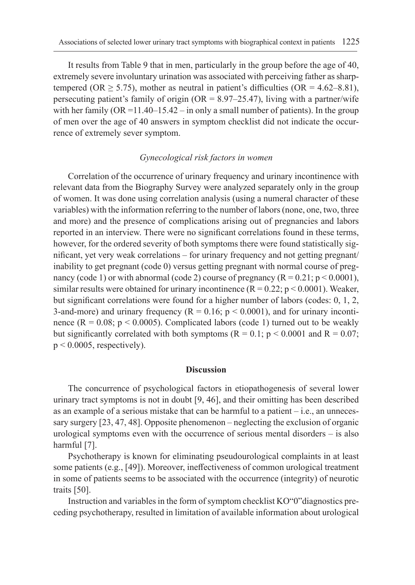It results from Table 9 that in men, particularly in the group before the age of 40, extremely severe involuntary urination was associated with perceiving father as sharptempered (OR  $\geq$  5.75), mother as neutral in patient's difficulties (OR = 4.62–8.81), persecuting patient's family of origin  $(OR = 8.97–25.47)$ , living with a partner/wife with her family (OR =  $11.40-15.42$  – in only a small number of patients). In the group of men over the age of 40 answers in symptom checklist did not indicate the occurrence of extremely sever symptom.

#### *Gynecological risk factors in women*

Correlation of the occurrence of urinary frequency and urinary incontinence with relevant data from the Biography Survey were analyzed separately only in the group of women. It was done using correlation analysis (using a numeral character of these variables) with the information referring to the number of labors (none, one, two, three and more) and the presence of complications arising out of pregnancies and labors reported in an interview. There were no significant correlations found in these terms, however, for the ordered severity of both symptoms there were found statistically significant, yet very weak correlations – for urinary frequency and not getting pregnant/ inability to get pregnant (code 0) versus getting pregnant with normal course of pregnancy (code 1) or with abnormal (code 2) course of pregnancy  $(R = 0.21; p < 0.0001)$ , similar results were obtained for urinary incontinence  $(R = 0.22; p < 0.0001)$ . Weaker, but significant correlations were found for a higher number of labors (codes: 0, 1, 2, 3-and-more) and urinary frequency ( $R = 0.16$ ;  $p < 0.0001$ ), and for urinary incontinence  $(R = 0.08; p < 0.0005)$ . Complicated labors (code 1) turned out to be weakly but significantly correlated with both symptoms ( $R = 0.1$ ;  $p < 0.0001$  and  $R = 0.07$ ;  $p < 0.0005$ , respectively).

#### **Discussion**

The concurrence of psychological factors in etiopathogenesis of several lower urinary tract symptoms is not in doubt [9, 46], and their omitting has been described as an example of a serious mistake that can be harmful to a patient – i.e., an unnecessary surgery [23, 47, 48]. Opposite phenomenon – neglecting the exclusion of organic urological symptoms even with the occurrence of serious mental disorders – is also harmful [7].

Psychotherapy is known for eliminating pseudourological complaints in at least some patients (e.g., [49]). Moreover, ineffectiveness of common urological treatment in some of patients seems to be associated with the occurrence (integrity) of neurotic traits [50].

Instruction and variables in the form of symptom checklist KO"0"diagnostics preceding psychotherapy, resulted in limitation of available information about urological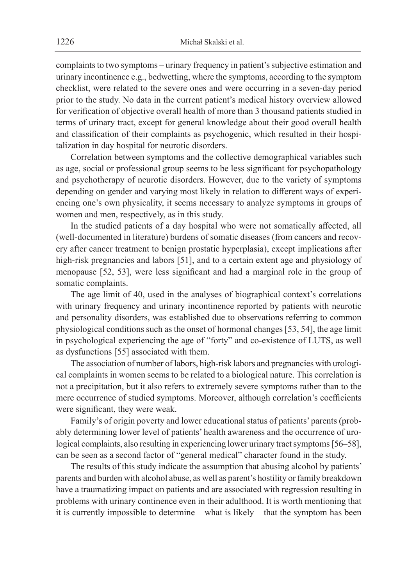complaints to two symptoms – urinary frequency in patient's subjective estimation and urinary incontinence e.g., bedwetting, where the symptoms, according to the symptom checklist, were related to the severe ones and were occurring in a seven-day period prior to the study. No data in the current patient's medical history overview allowed for verification of objective overall health of more than 3 thousand patients studied in terms of urinary tract, except for general knowledge about their good overall health and classification of their complaints as psychogenic, which resulted in their hospitalization in day hospital for neurotic disorders.

Correlation between symptoms and the collective demographical variables such as age, social or professional group seems to be less significant for psychopathology and psychotherapy of neurotic disorders. However, due to the variety of symptoms depending on gender and varying most likely in relation to different ways of experiencing one's own physicality, it seems necessary to analyze symptoms in groups of women and men, respectively, as in this study.

In the studied patients of a day hospital who were not somatically affected, all (well-documented in literature) burdens of somatic diseases (from cancers and recovery after cancer treatment to benign prostatic hyperplasia), except implications after high-risk pregnancies and labors [51], and to a certain extent age and physiology of menopause [52, 53], were less significant and had a marginal role in the group of somatic complaints.

The age limit of 40, used in the analyses of biographical context's correlations with urinary frequency and urinary incontinence reported by patients with neurotic and personality disorders, was established due to observations referring to common physiological conditions such as the onset of hormonal changes [53, 54], the age limit in psychological experiencing the age of "forty" and co-existence of LUTS, as well as dysfunctions [55] associated with them.

The association of number of labors, high-risk labors and pregnancies with urological complaints in women seems to be related to a biological nature. This correlation is not a precipitation, but it also refers to extremely severe symptoms rather than to the mere occurrence of studied symptoms. Moreover, although correlation's coefficients were significant, they were weak.

Family's of origin poverty and lower educational status of patients' parents (probably determining lower level of patients' health awareness and the occurrence of urological complaints, also resulting in experiencing lower urinary tract symptoms [56–58], can be seen as a second factor of "general medical" character found in the study.

The results of this study indicate the assumption that abusing alcohol by patients' parents and burden with alcohol abuse, as well as parent's hostility or family breakdown have a traumatizing impact on patients and are associated with regression resulting in problems with urinary continence even in their adulthood. It is worth mentioning that it is currently impossible to determine – what is likely – that the symptom has been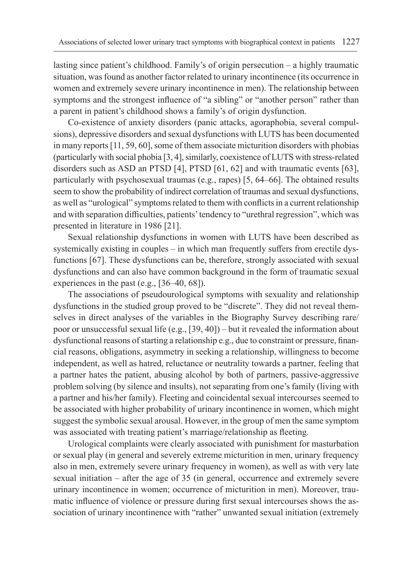lasting since patient's childhood. Family's of origin persecution – a highly traumatic situation, was found as another factor related to urinary incontinence (its occurrence in women and extremely severe urinary incontinence in men). The relationship between symptoms and the strongest influence of "a sibling" or "another person" rather than a parent in patient's childhood shows a family's of origin dysfunction.

Co-existence of anxiety disorders (panic attacks, agoraphobia, several compulsions), depressive disorders and sexual dysfunctions with LUTS has been documented in many reports [11, 59, 60], some of them associate micturition disorders with phobias (particularly with social phobia [3, 4], similarly, coexistence of LUTS with stress-related disorders such as ASD an PTSD [4], PTSD [61, 62] and with traumatic events [63], particularly with psychosexual traumas (e.g., rapes) [5, 64–66]. The obtained results seem to show the probability of indirect correlation of traumas and sexual dysfunctions, as well as "urological" symptoms related to them with conflicts in a current relationship and with separation difficulties, patients' tendency to "urethral regression", which was presented in literature in 1986 [21].

Sexual relationship dysfunctions in women with LUTS have been described as systemically existing in couples – in which man frequently suffers from erectile dysfunctions [67]. These dysfunctions can be, therefore, strongly associated with sexual dysfunctions and can also have common background in the form of traumatic sexual experiences in the past (e.g., [36–40, 68]).

The associations of pseudourological symptoms with sexuality and relationship dysfunctions in the studied group proved to be "discrete". They did not reveal themselves in direct analyses of the variables in the Biography Survey describing rare/ poor or unsuccessful sexual life (e.g., [39, 40]) – but it revealed the information about dysfunctional reasons of starting a relationship e.g., due to constraint or pressure, financial reasons, obligations, asymmetry in seeking a relationship, willingness to become independent, as well as hatred, reluctance or neutrality towards a partner, feeling that a partner hates the patient, abusing alcohol by both of partners, passive-aggressive problem solving (by silence and insults), not separating from one's family (living with a partner and his/her family). Fleeting and coincidental sexual intercourses seemed to be associated with higher probability of urinary incontinence in women, which might suggest the symbolic sexual arousal. However, in the group of men the same symptom was associated with treating patient's marriage/relationship as fleeting.

Urological complaints were clearly associated with punishment for masturbation or sexual play (in general and severely extreme micturition in men, urinary frequency also in men, extremely severe urinary frequency in women), as well as with very late sexual initiation – after the age of 35 (in general, occurrence and extremely severe urinary incontinence in women; occurrence of micturition in men). Moreover, traumatic influence of violence or pressure during first sexual intercourses shows the association of urinary incontinence with "rather" unwanted sexual initiation (extremely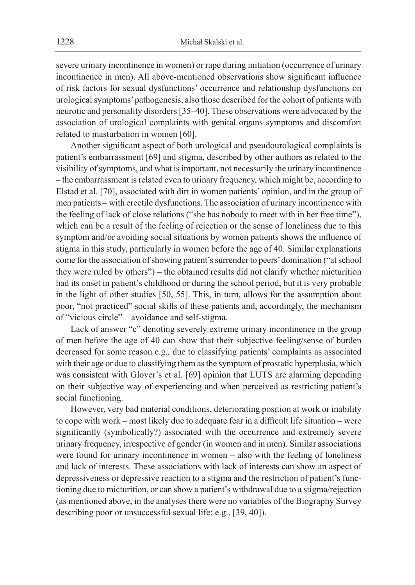severe urinary incontinence in women) or rape during initiation (occurrence of urinary incontinence in men). All above-mentioned observations show significant influence of risk factors for sexual dysfunctions' occurrence and relationship dysfunctions on urological symptoms' pathogenesis, also those described for the cohort of patients with neurotic and personality disorders [35–40]. These observations were advocated by the association of urological complaints with genital organs symptoms and discomfort related to masturbation in women [60].

Another significant aspect of both urological and pseudourological complaints is patient's embarrassment [69] and stigma, described by other authors as related to the visibility of symptoms, and what is important, not necessarily the urinary incontinence – the embarrassment is related even to urinary frequency, which might be, according to Elstad et al. [70], associated with dirt in women patients' opinion, and in the group of men patients – with erectile dysfunctions. The association of urinary incontinence with the feeling of lack of close relations ("she has nobody to meet with in her free time"), which can be a result of the feeling of rejection or the sense of loneliness due to this symptom and/or avoiding social situations by women patients shows the influence of stigma in this study, particularly in women before the age of 40. Similar explanations come for the association of showing patient's surrender to peers' domination ("at school they were ruled by others") – the obtained results did not clarify whether micturition had its onset in patient's childhood or during the school period, but it is very probable in the light of other studies [50, 55]. This, in turn, allows for the assumption about poor, "not practiced" social skills of these patients and, accordingly, the mechanism of "vicious circle" – avoidance and self-stigma.

Lack of answer "c" denoting severely extreme urinary incontinence in the group of men before the age of 40 can show that their subjective feeling/sense of burden decreased for some reason e.g., due to classifying patients' complaints as associated with their age or due to classifying them as the symptom of prostatic hyperplasia, which was consistent with Glover's et al. [69] opinion that LUTS are alarming depending on their subjective way of experiencing and when perceived as restricting patient's social functioning.

However, very bad material conditions, deteriorating position at work or inability to cope with work – most likely due to adequate fear in a difficult life situation – were significantly (symbolically?) associated with the occurrence and extremely severe urinary frequency, irrespective of gender (in women and in men). Similar associations were found for urinary incontinence in women – also with the feeling of loneliness and lack of interests. These associations with lack of interests can show an aspect of depressiveness or depressive reaction to a stigma and the restriction of patient's functioning due to micturition, or can show a patient's withdrawal due to a stigma/rejection (as mentioned above, in the analyses there were no variables of the Biography Survey describing poor or unsuccessful sexual life; e.g., [39, 40]).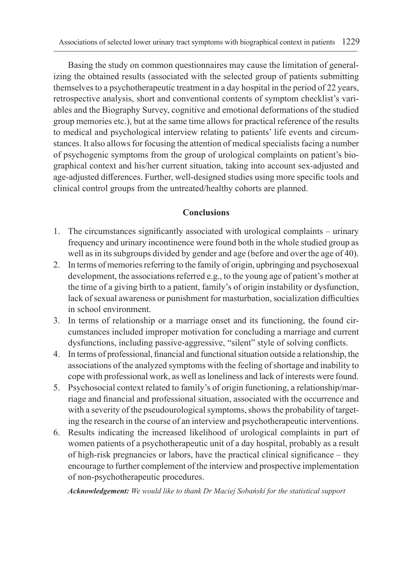Basing the study on common questionnaires may cause the limitation of generalizing the obtained results (associated with the selected group of patients submitting themselves to a psychotherapeutic treatment in a day hospital in the period of 22 years, retrospective analysis, short and conventional contents of symptom checklist's variables and the Biography Survey, cognitive and emotional deformations of the studied group memories etc.), but at the same time allows for practical reference of the results to medical and psychological interview relating to patients' life events and circumstances. It also allows for focusing the attention of medical specialists facing a number of psychogenic symptoms from the group of urological complaints on patient's biographical context and his/her current situation, taking into account sex-adjusted and age-adjusted differences. Further, well-designed studies using more specific tools and clinical control groups from the untreated/healthy cohorts are planned.

# **Conclusions**

- 1. The circumstances significantly associated with urological complaints urinary frequency and urinary incontinence were found both in the whole studied group as well as in its subgroups divided by gender and age (before and over the age of 40).
- 2. In terms of memories referring to the family of origin, upbringing and psychosexual development, the associations referred e.g., to the young age of patient's mother at the time of a giving birth to a patient, family's of origin instability or dysfunction, lack of sexual awareness or punishment for masturbation, socialization difficulties in school environment.
- 3. In terms of relationship or a marriage onset and its functioning, the found circumstances included improper motivation for concluding a marriage and current dysfunctions, including passive-aggressive, "silent" style of solving conflicts.
- 4. In terms of professional, financial and functional situation outside a relationship, the associations of the analyzed symptoms with the feeling of shortage and inability to cope with professional work, as well as loneliness and lack of interests were found.
- 5. Psychosocial context related to family's of origin functioning, a relationship/marriage and financial and professional situation, associated with the occurrence and with a severity of the pseudourological symptoms, shows the probability of targeting the research in the course of an interview and psychotherapeutic interventions.
- 6. Results indicating the increased likelihood of urological complaints in part of women patients of a psychotherapeutic unit of a day hospital, probably as a result of high-risk pregnancies or labors, have the practical clinical significance – they encourage to further complement of the interview and prospective implementation of non-psychotherapeutic procedures.

*Acknowledgement: We would like to thank Dr Maciej Sobański for the statistical support*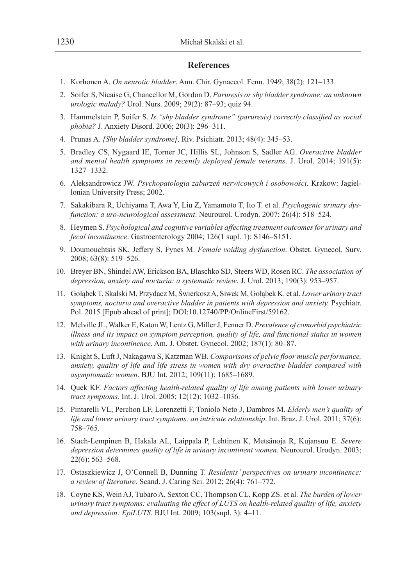#### **References**

- 1. Korhonen A. *On neurotic bladder*. Ann. Chir. Gynaecol. Fenn. 1949; 38(2): 121–133.
- 2. Soifer S, Nicaise G, Chancellor M, Gordon D. *Paruresis or shy bladder syndrome: an unknown urologic malady?* Urol. Nurs. 2009; 29(2): 87–93; quiz 94.
- 3. Hammelstein P, Soifer S. *Is "shy bladder syndrome" (paruresis) correctly classified as social phobia?* J. Anxiety Disord. 2006; 20(3): 296–311.
- 4. Prunas A. *[Shy bladder syndrome]*. Riv. Psichiatr. 2013; 48(4): 345–53.
- 5. Bradley CS, Nygaard IE, Torner JC, Hillis SL, Johnson S, Sadler AG. *Overactive bladder and mental health symptoms in recently deployed female veterans*. J. Urol. 2014; 191(5): 1327–1332.
- 6. Aleksandrowicz JW. *Psychopatologia zaburzeń nerwicowych i osobowości*. Krakow: Jagiellonian University Press; 2002.
- 7. Sakakibara R, Uchiyama T, Awa Y, Liu Z, Yamamoto T, Ito T. et al. *Psychogenic urinary dysfunction: a uro-neurological assessment*. Neurourol. Urodyn. 2007; 26(4): 518–524.
- 8. Heymen S. *Psychological and cognitive variables affecting treatment outcomes for urinary and fecal incontinence*. Gastroenterology 2004; 126(1 supl. 1): S146–S151.
- 9. Doumouchtsis SK, Jeffery S, Fynes M. *Female voiding dysfunction*. Obstet. Gynecol. Surv. 2008; 63(8): 519–526.
- 10. Breyer BN, Shindel AW, Erickson BA, Blaschko SD, Steers WD, Rosen RC. *The association of depression, anxiety and nocturia: a systematic review*. J. Urol. 2013; 190(3): 953–957.
- 11. Gołąbek T, Skalski M, Przydacz M, Świerkosz A, Siwek M, Gołąbek K. et al. *Lower urinary tract*  symptoms, nocturia and overactive bladder in patients with depression and anxiety. Psychiatr. Pol. 2015 [Epub ahead of print]; DOI:10.12740/PP/OnlineFirst/59162.
- 12. Melville JL, Walker E, Katon W, Lentz G, Miller J, Fenner D. *Prevalence of comorbid psychiatric illness and its impact on symptom perception, quality of life, and functional status in women with urinary incontinence*. Am. J. Obstet. Gynecol. 2002; 187(1): 80–87.
- 13. Knight S, Luft J, Nakagawa S, Katzman WB. *Comparisons of pelvic floor muscle performance, anxiety, quality of life and life stress in women with dry overactive bladder compared with asymptomatic women*. BJU Int. 2012; 109(11): 1685–1689.
- 14. Quek KF. *Factors affecting health-related quality of life among patients with lower urinary tract symptoms*. Int. J. Urol. 2005; 12(12): 1032–1036.
- 15. Pintarelli VL, Perchon LF, Lorenzetti F, Toniolo Neto J, Dambros M. *Elderly men's quality of life and lower urinary tract symptoms: an intricate relationship*. Int. Braz. J. Urol. 2011; 37(6): 758–765.
- 16. Stach-Lempinen B, Hakala AL, Laippala P, Lehtinen K, Metsänoja R, Kujansuu E. *Severe depression determines quality of life in urinary incontinent women*. Neurourol. Urodyn. 2003; 22(6): 563–568.
- 17. Ostaszkiewicz J, O'Connell B, Dunning T. *Residents' perspectives on urinary incontinence: a review of literature*. Scand. J. Caring Sci. 2012; 26(4): 761–772.
- 18. Coyne KS, Wein AJ, Tubaro A, Sexton CC, Thompson CL, Kopp ZS. et al. *The burden of lower urinary tract symptoms: evaluating the effect of LUTS on health-related quality of life, anxiety and depression: EpiLUTS*. BJU Int. 2009; 103(supl. 3): 4–11.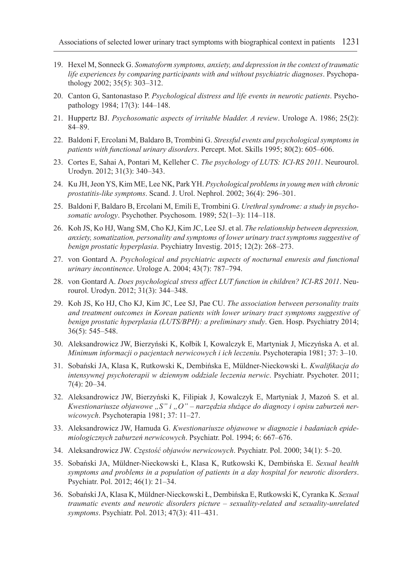- 19. Hexel M, Sonneck G. *Somatoform symptoms, anxiety, and depression in the context of traumatic life experiences by comparing participants with and without psychiatric diagnoses*. Psychopathology 2002; 35(5): 303–312.
- 20. Canton G, Santonastaso P. *Psychological distress and life events in neurotic patients*. Psychopathology 1984; 17(3): 144–148.
- 21. Huppertz BJ. *Psychosomatic aspects of irritable bladder. A review*. Urologe A. 1986; 25(2): 84–89.
- 22. Baldoni F, Ercolani M, Baldaro B, Trombini G. *Stressful events and psychological symptoms in patients with functional urinary disorders*. Percept. Mot. Skills 1995; 80(2): 605–606.
- 23. Cortes E, Sahai A, Pontari M, Kelleher C. *The psychology of LUTS: ICI-RS 2011*. Neurourol. Urodyn. 2012; 31(3): 340–343.
- 24. Ku JH, Jeon YS, Kim ME, Lee NK, Park YH. *Psychological problems in young men with chronic prostatitis-like symptoms*. Scand. J. Urol. Nephrol. 2002; 36(4): 296–301.
- 25. Baldoni F, Baldaro B, Ercolani M, Emili E, Trombini G. *Urethral syndrome: a study in psychosomatic urology*. Psychother. Psychosom. 1989; 52(1–3): 114–118.
- 26. Koh JS, Ko HJ, Wang SM, Cho KJ, Kim JC, Lee SJ. et al. *The relationship between depression, anxiety, somatization, personality and symptoms of lower urinary tract symptoms suggestive of benign prostatic hyperplasia*. Psychiatry Investig. 2015; 12(2): 268–273.
- 27. von Gontard A. *Psychological and psychiatric aspects of nocturnal enuresis and functional urinary incontinence*. Urologe A. 2004; 43(7): 787–794.
- 28. von Gontard A. *Does psychological stress affect LUT function in children? ICI-RS 2011*. Neurourol. Urodyn. 2012; 31(3): 344–348.
- 29. Koh JS, Ko HJ, Cho KJ, Kim JC, Lee SJ, Pae CU. *The association between personality traits and treatment outcomes in Korean patients with lower urinary tract symptoms suggestive of benign prostatic hyperplasia (LUTS/BPH): a preliminary study*. Gen. Hosp. Psychiatry 2014; 36(5): 545–548.
- 30. Aleksandrowicz JW, Bierzyński K, Kołbik I, Kowalczyk E, Martyniak J, Miczyńska A. et al. *Minimum informacji o pacjentach nerwicowych i ich leczeniu*. Psychoterapia 1981; 37: 3–10.
- 31. Sobański JA, Klasa K, Rutkowski K, Dembińska E, Müldner-Nieckowski Ł. *Kwalifikacja do intensywnej psychoterapii w dziennym oddziale leczenia nerwic*. Psychiatr. Psychoter. 2011; 7(4): 20–34.
- 32. Aleksandrowicz JW, Bierzyński K, Filipiak J, Kowalczyk E, Martyniak J, Mazoń S. et al. Kwestionariusze objawowe "S" i "O" – narzędzia służące do diagnozy i opisu zaburzeń ner*wicowych*. Psychoterapia 1981; 37: 11–27.
- 33. Aleksandrowicz JW, Hamuda G. *Kwestionariusze objawowe w diagnozie i badaniach epidemiologicznych zaburzeń nerwicowych*. Psychiatr. Pol. 1994; 6: 667–676.
- 34. Aleksandrowicz JW. *Częstość objawów nerwicowych*. Psychiatr. Pol. 2000; 34(1): 5–20.
- 35. Sobański JA, Müldner-Nieckowski Ł, Klasa K, Rutkowski K, Dembińska E. *Sexual health symptoms and problems in a population of patients in a day hospital for neurotic disorders*. Psychiatr. Pol. 2012; 46(1): 21–34.
- 36. Sobański JA, Klasa K, Müldner-Nieckowski Ł, Dembińska E, Rutkowski K, Cyranka K. *Sexual traumatic events and neurotic disorders picture – sexuality-related and sexuality-unrelated symptoms*. Psychiatr. Pol. 2013; 47(3): 411–431.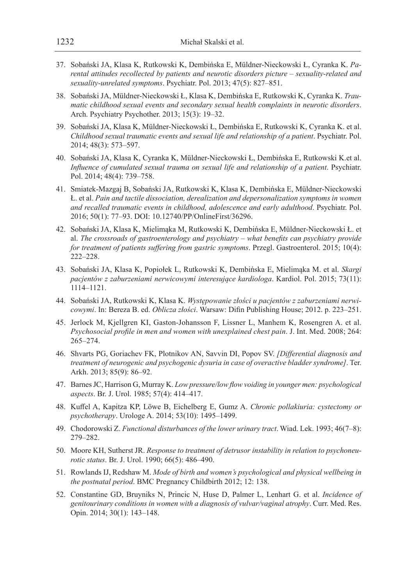- 37. Sobański JA, Klasa K, Rutkowski K, Dembińska E, Müldner-Nieckowski Ł, Cyranka K. *Parental attitudes recollected by patients and neurotic disorders picture – sexuality-related and sexuality-unrelated symptoms*. Psychiatr. Pol. 2013; 47(5): 827–851.
- 38. Sobański JA, Müldner-Nieckowski Ł, Klasa K, Dembińska E, Rutkowski K, Cyranka K. *Traumatic childhood sexual events and secondary sexual health complaints in neurotic disorders*. Arch. Psychiatry Psychother. 2013; 15(3): 19–32.
- 39. Sobański JA, Klasa K, Müldner-Nieckowski Ł, Dembińska E, Rutkowski K, Cyranka K. et al. *Childhood sexual traumatic events and sexual life and relationship of a patient*. Psychiatr. Pol. 2014; 48(3): 573–597.
- 40. Sobański JA, Klasa K, Cyranka K, Müldner-Nieckowski Ł, Dembińska E, Rutkowski K.et al. *Influence of cumulated sexual trauma on sexual life and relationship of a patient*. Psychiatr. Pol. 2014; 48(4): 739–758.
- 41. Smiatek-Mazgaj B, Sobański JA, Rutkowski K, Klasa K, Dembińska E, Müldner-Nieckowski Ł. et al. *Pain and tactile dissociation, derealization and depersonalization symptoms in women and recalled traumatic events in childhood, adolescence and early adulthood*. Psychiatr. Pol. 2016; 50(1): 77–93. DOI: 10.12740/PP/OnlineFirst/36296.
- 42. Sobański JA, Klasa K, Mielimąka M, Rutkowski K, Dembińska E, Müldner-Nieckowski Ł. et al. *The crossroads of gastroenterology and psychiatry – what benefits can psychiatry provide for treatment of patients suffering from gastric symptoms*. Przegl. Gastroenterol. 2015; 10(4): 222–228.
- 43. Sobański JA, Klasa K, Popiołek L, Rutkowski K, Dembińska E, Mielimąka M. et al. *Skargi pacjentów z zaburzeniami nerwicowymi interesujące kardiologa*. Kardiol. Pol. 2015; 73(11): 1114–1121.
- 44. Sobański JA, Rutkowski K, Klasa K. *Występowanie złości u pacjentów z zaburzeniami nerwicowymi*. In: Bereza B. ed. *Oblicza złości*. Warsaw: Difin Publishing House; 2012. p. 223–251.
- 45. Jerlock M, Kjellgren KI, Gaston-Johansson F, Lissner L, Manhem K, Rosengren A. et al. *Psychosocial profile in men and women with unexplained chest pain*. J. Int. Med. 2008; 264: 265–274.
- 46. Shvarts PG, Goriachev FK, Plotnikov AN, Savvin DI, Popov SV. *[Differential diagnosis and treatment of neurogenic and psychogenic dysuria in case of overactive bladder syndrome]*. Ter. Arkh. 2013; 85(9): 86–92.
- 47. Barnes JC, Harrison G, Murray K. *Low pressure/low flow voiding in younger men: psychological aspects*. Br. J. Urol. 1985; 57(4): 414–417.
- 48. Kuffel A, Kapitza KP, Löwe B, Eichelberg E, Gumz A. *Chronic pollakiuria: cystectomy or psychotherapy*. Urologe A. 2014; 53(10): 1495–1499.
- 49. Chodorowski Z. *Functional disturbances of the lower urinary tract*. Wiad. Lek. 1993; 46(7–8): 279–282.
- 50. Moore KH, Sutherst JR. *Response to treatment of detrusor instability in relation to psychoneurotic status*. Br. J. Urol. 1990; 66(5): 486–490.
- 51. Rowlands IJ, Redshaw M. *Mode of birth and women's psychological and physical wellbeing in the postnatal period*. BMC Pregnancy Childbirth 2012; 12: 138.
- 52. Constantine GD, Bruyniks N, Princic N, Huse D, Palmer L, Lenhart G. et al. *Incidence of genitourinary conditions in women with a diagnosis of vulvar/vaginal atrophy*. Curr. Med. Res. Opin. 2014; 30(1): 143–148.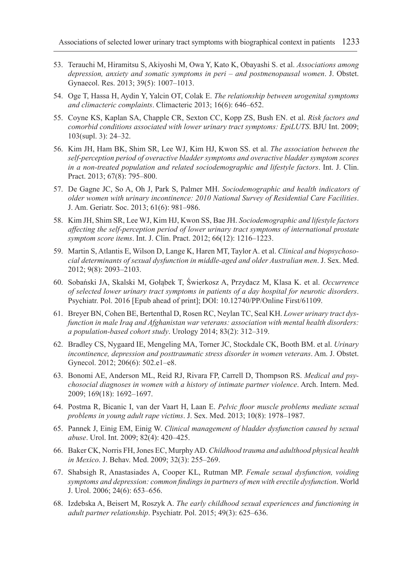- 53. Terauchi M, Hiramitsu S, Akiyoshi M, Owa Y, Kato K, Obayashi S. et al. *Associations among depression, anxiety and somatic symptoms in peri – and postmenopausal women*. J. Obstet. Gynaecol. Res. 2013; 39(5): 1007–1013.
- 54. Oge T, Hassa H, Aydin Y, Yalcin OT, Colak E. *The relationship between urogenital symptoms and climacteric complaints*. Climacteric 2013; 16(6): 646–652.
- 55. Coyne KS, Kaplan SA, Chapple CR, Sexton CC, Kopp ZS, Bush EN. et al. *Risk factors and comorbid conditions associated with lower urinary tract symptoms: EpiLUTS*. BJU Int. 2009; 103(supl. 3): 24–32.
- 56. Kim JH, Ham BK, Shim SR, Lee WJ, Kim HJ, Kwon SS. et al. *The association between the self-perception period of overactive bladder symptoms and overactive bladder symptom scores in a non-treated population and related sociodemographic and lifestyle factors*. Int. J. Clin. Pract. 2013; 67(8): 795–800.
- 57. De Gagne JC, So A, Oh J, Park S, Palmer MH. *Sociodemographic and health indicators of older women with urinary incontinence: 2010 National Survey of Residential Care Facilities*. J. Am. Geriatr. Soc. 2013; 61(6): 981–986.
- 58. Kim JH, Shim SR, Lee WJ, Kim HJ, Kwon SS, Bae JH. *Sociodemographic and lifestyle factors affecting the self-perception period of lower urinary tract symptoms of international prostate symptom score items*. Int. J. Clin. Pract. 2012; 66(12): 1216–1223.
- 59. Martin S, Atlantis E, Wilson D, Lange K, Haren MT, Taylor A. et al. *Clinical and biopsychosocial determinants of sexual dysfunction in middle-aged and older Australian men*. J. Sex. Med. 2012; 9(8): 2093–2103.
- 60. Sobański JA, Skalski M, Gołąbek T, Świerkosz A, Przydacz M, Klasa K. et al. *Occurrence of selected lower urinary tract symptoms in patients of a day hospital for neurotic disorders*. Psychiatr. Pol. 2016 [Epub ahead of print]; DOI: 10.12740/PP/Online First/61109.
- 61. Breyer BN, Cohen BE, Bertenthal D, Rosen RC, Neylan TC, Seal KH. *Lower urinary tract dysfunction in male Iraq and Afghanistan war veterans: association with mental health disorders: a population-based cohort study*. Urology 2014; 83(2): 312–319.
- 62. Bradley CS, Nygaard IE, Mengeling MA, Torner JC, Stockdale CK, Booth BM. et al. *Urinary incontinence, depression and posttraumatic stress disorder in women veterans*. Am. J. Obstet. Gynecol. 2012; 206(6): 502.e1–e8.
- 63. Bonomi AE, Anderson ML, Reid RJ, Rivara FP, Carrell D, Thompson RS. *Medical and psychosocial diagnoses in women with a history of intimate partner violence*. Arch. Intern. Med. 2009; 169(18): 1692–1697.
- 64. Postma R, Bicanic I, van der Vaart H, Laan E. *Pelvic floor muscle problems mediate sexual problems in young adult rape victims*. J. Sex. Med. 2013; 10(8): 1978–1987.
- 65. Pannek J, Einig EM, Einig W. *Clinical management of bladder dysfunction caused by sexual abuse*. Urol. Int. 2009; 82(4): 420–425.
- 66. Baker CK, Norris FH, Jones EC, Murphy AD. *Childhood trauma and adulthood physical health in Mexico*. J. Behav. Med. 2009; 32(3): 255–269.
- 67. Shabsigh R, Anastasiades A, Cooper KL, Rutman MP. *Female sexual dysfunction, voiding symptoms and depression: common findings in partners of men with erectile dysfunction*. World J. Urol. 2006; 24(6): 653–656.
- 68. Izdebska A, Beisert M, Roszyk A. *The early childhood sexual experiences and functioning in adult partner relationship*. Psychiatr. Pol. 2015; 49(3): 625–636.